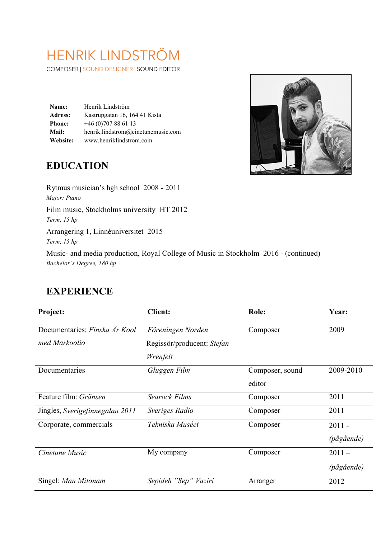# HENRIK LINDSTRÖM

COMPOSER | SOUND DESIGNER | SOUND EDITOR

**Name:** Henrik Lindström **Adress:** Kastrupgatan 16, 164 41 Kista **Phone:** +46 (0)707 88 61 13 **Mail:** henrik.lindstrom@cinetunemusic.com **Website:** www.henriklindstrom.com

## **EDUCATION**

Rytmus musician's hgh school 2008 - 2011 *Major: Piano* Film music, Stockholms university HT 2012 *Term, 15 hp* Arrangering 1, Linnéuniversitet 2015 *Term, 15 hp* Music- and media production, Royal College of Music in Stockholm 2016 - (continued) *Bachelor's Degree, 180 hp*

#### **EXPERIENCE**

| Project:                        | <b>Client:</b>             | <b>Role:</b>    | Year:      |
|---------------------------------|----------------------------|-----------------|------------|
| Documentaries: Finska Är Kool   | Föreningen Norden          | Composer        | 2009       |
| med Markoolio                   | Regissör/producent: Stefan |                 |            |
|                                 | Wrenfelt                   |                 |            |
| Documentaries                   | Gluggen Film               | Composer, sound | 2009-2010  |
|                                 |                            | editor          |            |
| Feature film: Gränsen           | <b>Searock Films</b>       | Composer        | 2011       |
| Jingles, Sverigefinnegalan 2011 | Sveriges Radio             | Composer        | 2011       |
| Corporate, commercials          | Tekniska Muséet            | Composer        | $2011 -$   |
|                                 |                            |                 | (pågående) |
| Cinetune Music                  | My company                 | Composer        | $2011 -$   |
|                                 |                            |                 | (pågående) |
| Singel: Man Mitonam             | Sepideh "Sep" Vaziri       | Arranger        | 2012       |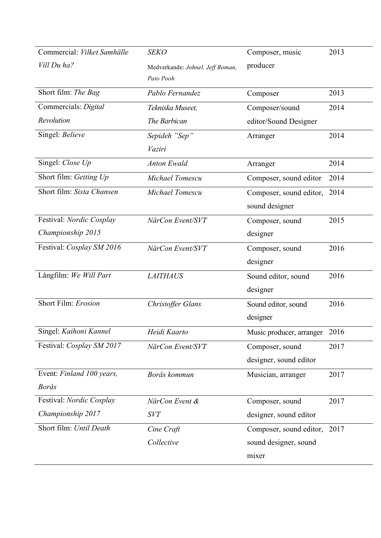| Commercial: Vilket Samhälle | <b>SEKO</b>                      | Composer, music               | 2013 |
|-----------------------------|----------------------------------|-------------------------------|------|
| Vill Du ha?                 | Medverkande: Johnel, Jeff Roman, | producer                      |      |
|                             | Pato Pooh                        |                               |      |
| Short film: The Bag         | Pablo Fernandez                  | Composer                      | 2013 |
| Commercials: Digital        | Tekniska Museet,                 | Composer/sound                | 2014 |
| Revolution                  | The Barbican                     | editor/Sound Designer         |      |
| Singel: Believe             | Sepideh "Sep"                    | Arranger                      | 2014 |
|                             | Vaziri                           |                               |      |
| Singel: Close Up            | <b>Anton Ewald</b>               | Arranger                      | 2014 |
| Short film: Getting Up      | Michael Tomescu                  | Composer, sound editor        | 2014 |
| Short film: Sista Chansen   | Michael Tomescu                  | Composer, sound editor,       | 2014 |
|                             |                                  | sound designer                |      |
| Festival: Nordic Cosplay    | NärCon Event/SVT                 | Composer, sound               | 2015 |
| Championship 2015           |                                  | designer                      |      |
| Festival: Cosplay SM 2016   | NärCon Event/SVT                 | Composer, sound               | 2016 |
|                             |                                  | designer                      |      |
| Långfilm: We Will Part      | <b>LAITHAUS</b>                  | Sound editor, sound           | 2016 |
|                             |                                  | designer                      |      |
| Short Film: Erosion         | Christoffer Glans                | Sound editor, sound           | 2016 |
|                             |                                  | designer                      |      |
| Singel: Kaihoni Kannel      | Heidi Kaarto                     | Music producer, arranger 2016 |      |
| Festival: Cosplay SM 2017   | NärCon Event/SVT                 | Composer, sound               | 2017 |
|                             |                                  | designer, sound editor        |      |
| Event: Finland 100 years,   | Borås kommun                     | Musician, arranger            | 2017 |
| <b>Borås</b>                |                                  |                               |      |
| Festival: Nordic Cosplay    | NärCon Event &                   | Composer, sound               | 2017 |
| Championship 2017           | <b>SVT</b>                       | designer, sound editor        |      |
| Short film: Until Death     | Cine Craft                       | Composer, sound editor, 2017  |      |
|                             | Collective                       | sound designer, sound         |      |
|                             |                                  | mixer                         |      |
|                             |                                  |                               |      |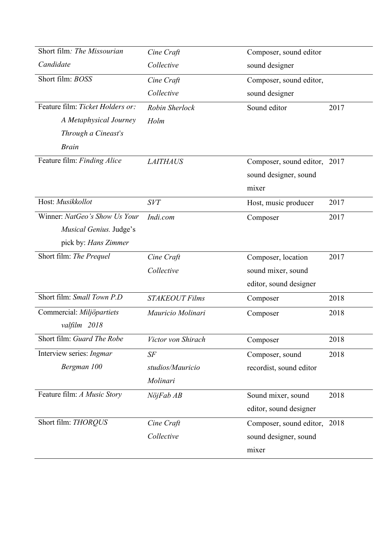| Short film: The Missourian       | Cine Craft            | Composer, sound editor       |      |
|----------------------------------|-----------------------|------------------------------|------|
| Candidate                        | Collective            | sound designer               |      |
| Short film: BOSS                 | Cine Craft            | Composer, sound editor,      |      |
|                                  | Collective            | sound designer               |      |
| Feature film: Ticket Holders or: | Robin Sherlock        | Sound editor                 | 2017 |
| A Metaphysical Journey           | Holm                  |                              |      |
| Through a Cineast's              |                       |                              |      |
| <b>Brain</b>                     |                       |                              |      |
| Feature film: Finding Alice      | <b>LAITHAUS</b>       | Composer, sound editor,      | 2017 |
|                                  |                       | sound designer, sound        |      |
|                                  |                       | mixer                        |      |
| Host: Musikkollot                | <b>SVT</b>            | Host, music producer         | 2017 |
| Winner: NatGeo's Show Us Your    | Indi.com              | Composer                     | 2017 |
| Musical Genius. Judge's          |                       |                              |      |
| pick by: <i>Hans Zimmer</i>      |                       |                              |      |
| Short film: The Prequel          | Cine Craft            | Composer, location           | 2017 |
|                                  | Collective            | sound mixer, sound           |      |
|                                  |                       | editor, sound designer       |      |
| Short film: Small Town P.D       | <b>STAKEOUT Films</b> | Composer                     | 2018 |
| Commercial: Miljöpartiets        | Mauricio Molinari     | Composer                     | 2018 |
| valfilm 2018                     |                       |                              |      |
| Short film: Guard The Robe       | Victor von Shirach    | Composer                     | 2018 |
| Interview series: Ingmar         | $S\!F$                | Composer, sound              | 2018 |
| Bergman 100                      | studios/Mauricio      | recordist, sound editor      |      |
|                                  | Molinari              |                              |      |
| Feature film: A Music Story      | NöjFab AB             | Sound mixer, sound           | 2018 |
|                                  |                       | editor, sound designer       |      |
| Short film: THORQUS              | Cine Craft            | Composer, sound editor, 2018 |      |
|                                  | Collective            | sound designer, sound        |      |
|                                  |                       | mixer                        |      |
|                                  |                       |                              |      |